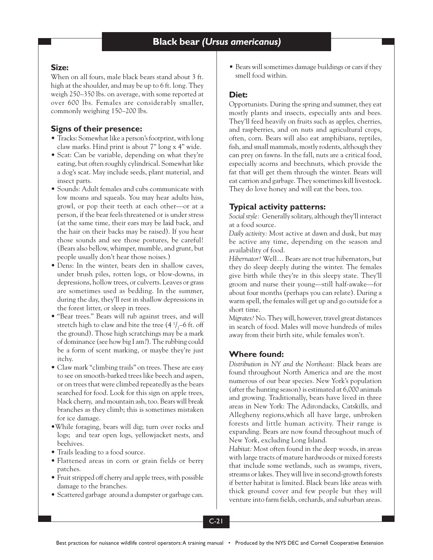### **Size:**

When on all fours, male black bears stand about 3 ft. high at the shoulder, and may be up to 6 ft. long. They weigh 250–350 lbs. on average, with some reported at over 600 lbs. Females are considerably smaller, commonly weighing 150–200 lbs.

### **Signs of their presence:**

- Tracks: Somewhat like a person's footprint, with long claw marks. Hind print is about 7" long x 4" wide.
- Scat: Can be variable, depending on what they're eating, but often roughly cylindrical. Somewhat like a dog's scat. May include seeds, plant material, and insect parts.
- Sounds: Adult females and cubs communicate with low moans and squeals. You may hear adults hiss, growl, or pop their teeth at each other—or at a person, if the bear feels threatened or is under stress (at the same time, their ears may be laid back, and the hair on their backs may be raised). If you hear those sounds and see those postures, be careful! (Bears also bellow, whimper, mumble, and grunt, but people usually don't hear those noises.)
- Dens: In the winter, bears den in shallow caves, under brush piles, rotten logs, or blow-downs, in depressions, hollow trees, or culverts. Leaves or grass are sometimes used as bedding. In the summer, during the day, they'll rest in shallow depressions in the forest litter, or sleep in trees.
- "Bear trees." Bears will rub against trees, and will stretch high to claw and bite the tree (4  $\frac{1}{2}$ –6 ft. off the ground). Those high scratchings may be a mark of dominance (see how big I am?). The rubbing could be a form of scent marking, or maybe they're just itchy.
- Claw mark "climbing trails" on trees. These are easy to see on smooth-barked trees like beech and aspen, or on trees that were climbed repeatedly as the bears searched for food. Look for this sign on apple trees, black cherry, and mountain ash, too. Bears will break branches as they climb; this is sometimes mistaken for ice damage.
- •While foraging, bears will dig; turn over rocks and logs; and tear open logs, yellowjacket nests, and beehives.
- Trails leading to a food source.
- Flattened areas in corn or grain fields or berry patches.
- Fruit stripped off cherry and apple trees, with possible damage to the branches.
- Scattered garbage around a dumpster or garbage can.

• Bears will sometimes damage buildings or cars if they smell food within.

### **Diet:**

Opportunists. During the spring and summer, they eat mostly plants and insects, especially ants and bees. They'll feed heavily on fruits such as apples, cherries, and raspberries, and on nuts and agricultural crops, often, corn. Bears will also eat amphibians, reptiles, fish, and small mammals, mostly rodents, although they can prey on fawns. In the fall, nuts are a critical food, especially acorns and beechnuts, which provide the fat that will get them through the winter. Bears will eat carrion and garbage. They sometimes kill livestock. They do love honey and will eat the bees, too.

## **Typical activity patterns:**

*Social style:* Generally solitary, although they'll interact at a food source.

*Daily activity:* Most active at dawn and dusk, but may be active any time, depending on the season and availability of food.

*Hibernator?* Well… Bears are not true hibernators, but they do sleep deeply during the winter. The females give birth while they're in this sleepy state. They'll groom and nurse their young—still half-awake—for about four months (perhaps you can relate). During a warm spell, the females will get up and go outside for a short time.

*Migrates?* No. They will, however, travel great distances in search of food. Males will move hundreds of miles away from their birth site, while females won't.

### **Where found:**

*Distribution in NY and the Northeast:* Black bears are found throughout North America and are the most numerous of our bear species. New York's population (after the hunting season) is estimated at 6,000 animals and growing. Traditionally, bears have lived in three areas in New York: The Adirondacks, Catskills, and Allegheny regions,which all have large, unbroken forests and little human activity. Their range is expanding. Bears are now found throughout much of New York, excluding Long Island.

*Habitat:* Most often found in the deep woods, in areas with large tracts of mature hardwoods or mixed forests that include some wetlands, such as swamps, rivers, streams or lakes. They will live in second-growth forests if better habitat is limited. Black bears like areas with thick ground cover and few people but they will venture into farm fields, orchards, and suburban areas.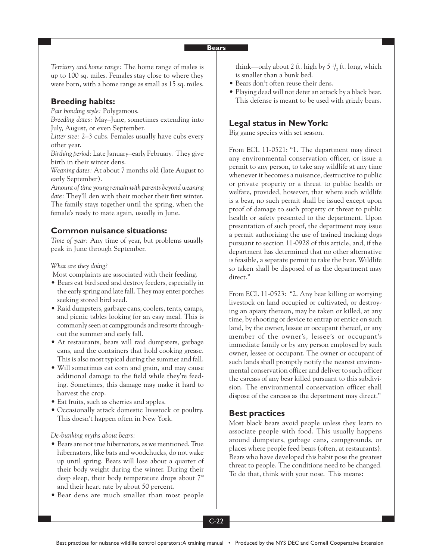*Territory and home range:* The home range of males is up to 100 sq. miles. Females stay close to where they were born, with a home range as small as 15 sq. miles.

## **Breeding habits:**

*Pair bonding style:* Polygamous.

*Breeding dates:* May–June, sometimes extending into July, August, or even September.

*Litter size:* 2–3 cubs. Females usually have cubs every other year.

*Birthing period:* Late January–early February. They give birth in their winter dens.

*Weaning dates:* At about 7 months old (late August to early September).

*Amount of time young remain with parents beyond weaning date:* They'll den with their mother their first winter. The family stays together until the spring, when the female's ready to mate again, usually in June.

### **Common nuisance situations:**

*Time of year:* Any time of year, but problems usually peak in June through September.

*What are they doing?*

Most complaints are associated with their feeding.

- Bears eat bird seed and destroy feeders, especially in the early spring and late fall. They may enter porches seeking stored bird seed.
- Raid dumpsters, garbage cans, coolers, tents, camps, and picnic tables looking for an easy meal. This is commonly seen at campgrounds and resorts throughout the summer and early fall.
- At restaurants, bears will raid dumpsters, garbage cans, and the containers that hold cooking grease. This is also most typical during the summer and fall.
- Will sometimes eat corn and grain, and may cause additional damage to the field while they're feeding. Sometimes, this damage may make it hard to harvest the crop.
- Eat fruits, such as cherries and apples.
- Occasionally attack domestic livestock or poultry. This doesn't happen often in New York.

*De-bunking myths about bears:*

- Bears are not true hibernators, as we mentioned. True hibernators, like bats and woodchucks, do not wake up until spring. Bears will lose about a quarter of their body weight during the winter. During their deep sleep, their body temperature drops about 7° and their heart rate by about 50 percent.
- Bear dens are much smaller than most people

think—only about 2 ft. high by 5  $\frac{1}{2}$  ft. long, which is smaller than a bunk bed.

- Bears don't often reuse their dens.
- Playing dead will not deter an attack by a black bear. This defense is meant to be used with grizzly bears.

# **Legal status in New York:**

Big game species with set season.

From ECL 11-0521: "1. The department may direct any environmental conservation officer, or issue a permit to any person, to take any wildlife at any time whenever it becomes a nuisance, destructive to public or private property or a threat to public health or welfare, provided, however, that where such wildlife is a bear, no such permit shall be issued except upon proof of damage to such property or threat to public health or safety presented to the department. Upon presentation of such proof, the department may issue a permit authorizing the use of trained tracking dogs pursuant to section 11-0928 of this article, and, if the department has determined that no other alternative is feasible, a separate permit to take the bear. Wildlife so taken shall be disposed of as the department may direct."

From ECL 11-0523: "2. Any bear killing or worrying livestock on land occupied or cultivated, or destroying an apiary thereon, may be taken or killed, at any time, by shooting or device to entrap or entice on such land, by the owner, lessee or occupant thereof, or any member of the owner's, lessee's or occupant's immediate family or by any person employed by such owner, lessee or occupant. The owner or occupant of such lands shall promptly notify the nearest environmental conservation officer and deliver to such officer the carcass of any bear killed pursuant to this subdivision. The environmental conservation officer shall dispose of the carcass as the department may direct."

## **Best practices**

Most black bears avoid people unless they learn to associate people with food. This usually happens around dumpsters, garbage cans, campgrounds, or places where people feed bears (often, at restaurants). Bears who have developed this habit pose the greatest threat to people. The conditions need to be changed. To do that, think with your nose. This means: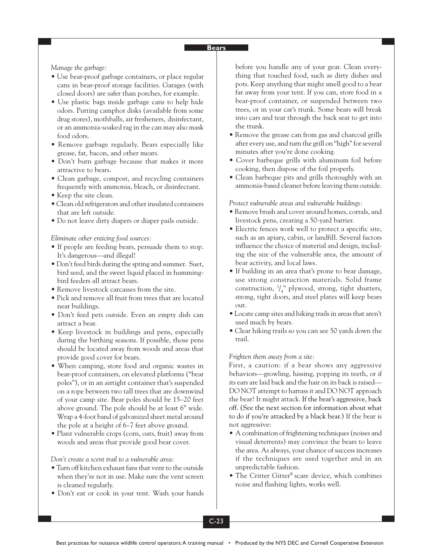*Manage the garbage:*

- Use bear-proof garbage containers, or place regular cans in bear-proof storage facilities. Garages (with closed doors) are safer than porches, for example.
- Use plastic bags inside garbage cans to help hide odors. Putting camphor disks (available from some drug stores), mothballs, air fresheners, disinfectant, or an ammonia-soaked rag in the can may also mask food odors.
- Remove garbage regularly. Bears especially like grease, fat, bacon, and other meats.
- Don't burn garbage because that makes it more attractive to bears.
- Clean garbage, compost, and recycling containers frequently with ammonia, bleach, or disinfectant.
- Keep the site clean.
- Clean old refrigerators and other insulated containers that are left outside.
- Do not leave dirty diapers or diaper pails outside.

*Eliminate other enticing food sources:*

- If people are feeding bears, persuade them to stop. It's dangerous—and illegal!
- Don't feed birds during the spring and summer. Suet, bird seed, and the sweet liquid placed in hummingbird feeders all attract bears.
- Remove livestock carcasses from the site.
- Pick and remove all fruit from trees that are located near buildings.
- Don't feed pets outside. Even an empty dish can attract a bear.
- Keep livestock in buildings and pens, especially during the birthing seasons. If possible, those pens should be located away from woods and areas that provide good cover for bears.
- When camping, store food and organic wastes in bear-proof containers, on elevated platforms ("bear poles"), or in an airtight container that's suspended on a rope between two tall trees that are downwind of your camp site. Bear poles should be 15–20 feet above ground. The pole should be at least 6" wide. Wrap a 4-foot band of galvanized sheet metal around the pole at a height of 6–7 feet above ground.
- Plant vulnerable crops (corn, oats, fruit) away from woods and areas that provide good bear cover.

*Don't create a scent trail to a vulnerable area:*

- Turn off kitchen exhaust fans that vent to the outside when they're not in use. Make sure the vent screen is cleaned regularly.
- Don't eat or cook in your tent. Wash your hands

before you handle any of your gear. Clean everything that touched food, such as dirty dishes and pots. Keep anything that might smell good to a bear far away from your tent. If you can, store food in a bear-proof container, or suspended between two trees, or in your car's trunk. Some bears will break into cars and tear through the back seat to get into the trunk.

- Remove the grease can from gas and charcoal grills after every use, and turn the grill on "high" for several minutes after you're done cooking.
- Cover barbeque grills with aluminum foil before cooking, then dispose of the foil properly.
- Clean barbeque pits and grills thoroughly with an ammonia-based cleaner before leaving them outside.

*Protect vulnerable areas and vulnerable buildings:*

- Remove brush and cover around homes, corrals, and livestock pens, creating a 50-yard barrier.
- Electric fences work well to protect a specific site, such as an apiary, cabin, or landfill. Several factors influence the choice of material and design, including the size of the vulnerable area, the amount of bear activity, and local laws.
- If building in an area that's prone to bear damage, use strong construction materials. Solid frame construction,  $\frac{3}{4}$ " plywood, strong, tight shutters, strong, tight doors, and steel plates will keep bears out.
- Locate camp sites and hiking trails in areas that aren't used much by bears.
- Clear hiking trails so you can see 50 yards down the trail.

#### *Frighten them away from a site:*

First, a caution: if a bear shows any aggressive behaviors—growling, hissing, popping its teeth, or if its ears are laid back and the hair on its back is raised— DO NOT attempt to harrass it and DO NOT approach the bear! It might attack. If the bear's aggressive, back off. (See the next section for information about what to do if you're attacked by a black bear.) If the bear is not aggressive:

- A combination of frightening techniques (noises and visual deterrents) may convince the bears to leave the area. As always, your chance of success increases if the techniques are used together and in an unpredictable fashion.
- The Critter Gitter® scare device, which combines noise and flashing lights, works well.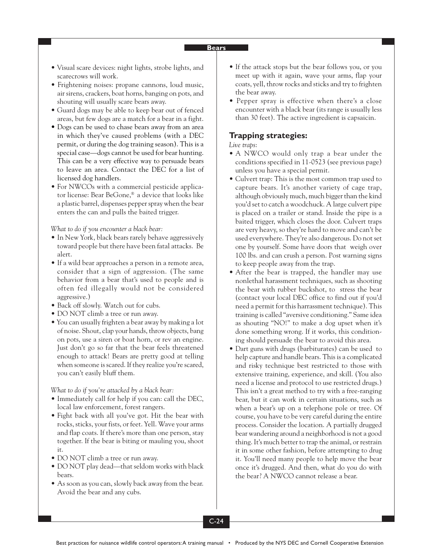- Visual scare devices: night lights, strobe lights, and scarecrows will work.
- Frightening noises: propane cannons, loud music, air sirens, crackers, boat horns, banging on pots, and shouting will usually scare bears away.
- Guard dogs may be able to keep bear out of fenced areas, but few dogs are a match for a bear in a fight.
- Dogs can be used to chase bears away from an area in which they've caused problems (with a DEC permit, or during the dog training season). This is a special case—dogs cannot be used for bear hunting. This can be a very effective way to persuade bears to leave an area. Contact the DEC for a list of licensed dog handlers.
- For NWCOs with a commercial pesticide applicator license: Bear BeGone,® a device that looks like a plastic barrel, dispenses pepper spray when the bear enters the can and pulls the baited trigger.

*What to do if you encounter a black bear:*

- In New York, black bears rarely behave aggressively toward people but there have been fatal attacks. Be alert.
- If a wild bear approaches a person in a remote area, consider that a sign of aggression. (The same behavior from a bear that's used to people and is often fed illegally would not be considered aggressive.)
- Back off slowly. Watch out for cubs.
- DO NOT climb a tree or run away.
- You can usually frighten a bear away by making a lot of noise. Shout, clap your hands, throw objects, bang on pots, use a siren or boat horn, or rev an engine. Just don't go so far that the bear feels threatened enough to attack! Bears are pretty good at telling when someone is scared. If they realize you're scared, you can't easily bluff them.

*What to do if you're attacked by a black bear:*

- Immediately call for help if you can: call the DEC, local law enforcement, forest rangers.
- Fight back with all you've got. Hit the bear with rocks, sticks, your fists, or feet. Yell. Wave your arms and flap coats. If there's more than one person, stay together. If the bear is biting or mauling you, shoot it.
- DO NOT climb a tree or run away.
- DO NOT play dead—that seldom works with black bears.
- As soon as you can, slowly back away from the bear. Avoid the bear and any cubs.
- If the attack stops but the bear follows you, or you meet up with it again, wave your arms, flap your coats, yell, throw rocks and sticks and try to frighten the bear away.
- Pepper spray is effective when there's a close encounter with a black bear (its range is usually less than 30 feet). The active ingredient is capsaicin.

## **Trapping strategies:**

#### *Live traps*:

- A NWCO would only trap a bear under the conditions specified in 11-0523 (see previous page) unless you have a special permit.
- Culvert trap: This is the most common trap used to capture bears. It's another variety of cage trap, although obviously much, much bigger than the kind you'd set to catch a woodchuck. A large culvert pipe is placed on a trailer or stand. Inside the pipe is a baited trigger, which closes the door. Culvert traps are very heavy, so they're hard to move and can't be used everywhere. They're also dangerous. Do not set one by yourself. Some have doors that weigh over 100 lbs. and can crush a person. Post warning signs to keep people away from the trap.
- After the bear is trapped, the handler may use nonlethal harassment techniques, such as shooting the bear with rubber buckshot, to stress the bear (contact your local DEC office to find out if you'd need a permit for this harrassment technique). This training is called "aversive conditioning." Same idea as shouting "NO!" to make a dog upset when it's done something wrong. If it works, this conditioning should persuade the bear to avoid this area.
- Dart guns with drugs (barbiturates) can be used to help capture and handle bears. This is a complicated and risky technique best restricted to those with extensive training, experience, and skill. (You also need a license and protocol to use restricted drugs.) This isn't a great method to try with a free-ranging bear, but it can work in certain situations, such as when a bear's up on a telephone pole or tree. Of course, you have to be very careful during the entire process. Consider the location. A partially drugged bear wandering around a neighborhood is not a good thing. It's much better to trap the animal, or restrain it in some other fashion, before attempting to drug it. You'll need many people to help move the bear once it's drugged. And then, what do you do with the bear? A NWCO cannot release a bear.